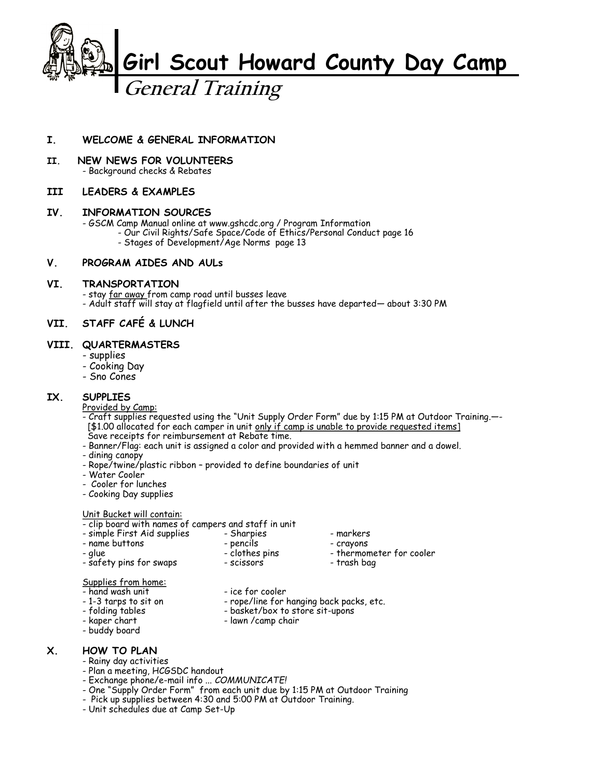

## **I. WELCOME & GENERAL INFORMATION**

**II. NEW NEWS FOR VOLUNTEERS** - Background checks & Rebates

## **III LEADERS & EXAMPLES**

### **IV. INFORMATION SOURCES**

- GSCM Camp Manual online at www.gshcdc.org / Program Information

- Our Civil Rights/Safe Space/Code of Ethics/Personal Conduct page 16
	- Stages of Development/Age Norms page 13

#### **V. PROGRAM AIDES AND AULs**

#### **VI. TRANSPORTATION**

- stay far away from camp road until busses leave

- Adult staff will stay at flagfield until after the busses have departed— about 3:30 PM

## **VII. STAFF CAFÉ & LUNCH**

#### **VIII. QUARTERMASTERS**

- supplies
- Cooking Day
- Sno Cones

## **IX. SUPPLIES**

- Provided by Camp:
- Craft supplies requested using the "Unit Supply Order Form" due by 1:15 PM at Outdoor Training.—- [\$1.00 allocated for each camper in unit only if camp is unable to provide requested items] Save receipts for reimbursement at Rebate time.
- Banner/Flag: each unit is assigned a color and provided with a hemmed banner and a dowel.
- dining canopy
- Rope/twine/plastic ribbon provided to define boundaries of unit
- Water Cooler
- Cooler for lunches
- Cooking Day supplies

Unit Bucket will contain:

- clip board with names of campers and staff in unit<br>- simple First Aid supplies Sharpies
- simple First Aid supplies Sharpies markers
	-
- name buttons pencils crayons
	-
- 
- glue clothes pins thermometer for cooler
	-

- safety pins for swaps

# Supplies from home:

- 
- 
- 
- 
- hand wash unit ice for cooler
- 1-3 tarps to sit on rope/line for hanging back packs, etc.<br>- folding tables - basket/box to store sit-upons
- folding tables basket/box to store sit-upons
	-
- buddy board
- lawn /camp chair
- 
- 

## **X. HOW TO PLAN**

- Rainy day activities
- Plan a meeting, HCGSDC handout
- Exchange phone/e-mail info ... *COMMUNICATE!*
- One "Supply Order Form" from each unit due by 1:15 PM at Outdoor Training
- Pick up supplies between 4:30 and 5:00 PM at Outdoor Training.
- Unit schedules due at Camp Set-Up